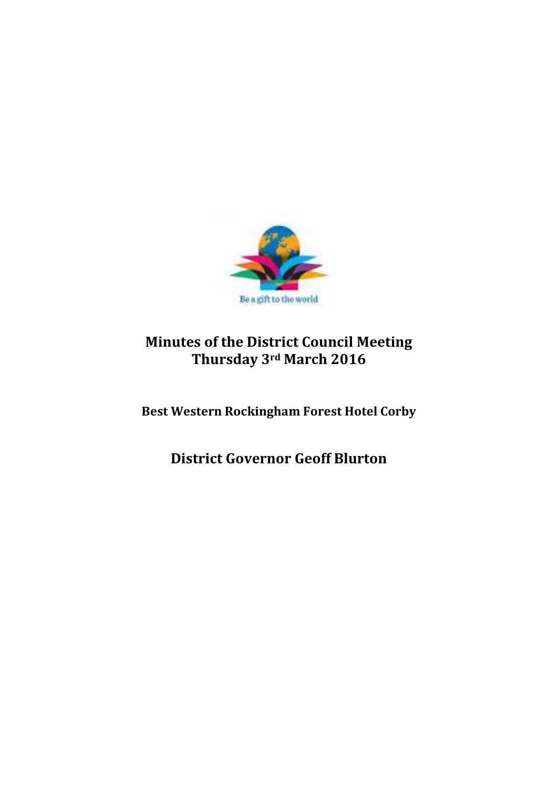

# **Minutes of the District Council Meeting Thursday 3rd March 2016**

**Best Western Rockingham Forest Hotel Corby**

**District Governor Geoff Blurton**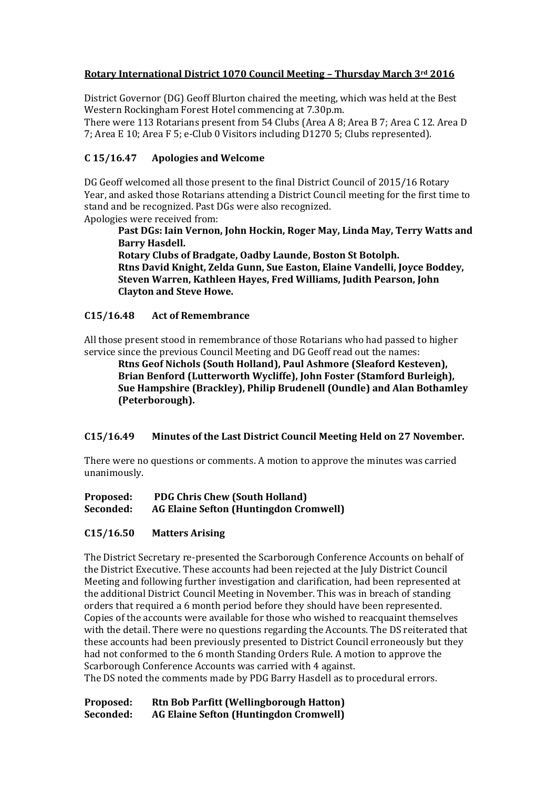## **Rotary International District 1070 Council Meeting – Thursday March 3rd 2016**

District Governor (DG) Geoff Blurton chaired the meeting, which was held at the Best Western Rockingham Forest Hotel commencing at 7.30p.m.

There were 113 Rotarians present from 54 Clubs (Area A 8; Area B 7; Area C 12. Area D 7; Area E 10; Area F 5; e-Club 0 Visitors including D1270 5; Clubs represented).

# **C 15/16.47 Apologies and Welcome**

DG Geoff welcomed all those present to the final District Council of 2015/16 Rotary Year, and asked those Rotarians attending a District Council meeting for the first time to stand and be recognized. Past DGs were also recognized. Apologies were received from:

**Past DGs: Iain Vernon, John Hockin, Roger May, Linda May, Terry Watts and Barry Hasdell.**

**Rotary Clubs of Bradgate, Oadby Launde, Boston St Botolph. Rtns David Knight, Zelda Gunn, Sue Easton, Elaine Vandelli, Joyce Boddey, Steven Warren, Kathleen Hayes, Fred Williams, Judith Pearson, John Clayton and Steve Howe.**

## **C15/16.48 Act of Remembrance**

All those present stood in remembrance of those Rotarians who had passed to higher service since the previous Council Meeting and DG Geoff read out the names:

**Rtns Geof Nichols (South Holland), Paul Ashmore (Sleaford Kesteven), Brian Benford (Lutterworth Wycliffe), John Foster (Stamford Burleigh), Sue Hampshire (Brackley), Philip Brudenell (Oundle) and Alan Bothamley (Peterborough).**

## **C15/16.49 Minutes of the Last District Council Meeting Held on 27 November.**

There were no questions or comments. A motion to approve the minutes was carried unanimously.

**Proposed: PDG Chris Chew (South Holland)**

## **Seconded: AG Elaine Sefton (Huntingdon Cromwell)**

## **C15/16.50 Matters Arising**

The District Secretary re-presented the Scarborough Conference Accounts on behalf of the District Executive. These accounts had been rejected at the July District Council Meeting and following further investigation and clarification, had been represented at the additional District Council Meeting in November. This was in breach of standing orders that required a 6 month period before they should have been represented. Copies of the accounts were available for those who wished to reacquaint themselves with the detail. There were no questions regarding the Accounts. The DS reiterated that these accounts had been previously presented to District Council erroneously but they had not conformed to the 6 month Standing Orders Rule. A motion to approve the Scarborough Conference Accounts was carried with 4 against.

The DS noted the comments made by PDG Barry Hasdell as to procedural errors.

**Proposed: Rtn Bob Parfitt (Wellingborough Hatton) Seconded: AG Elaine Sefton (Huntingdon Cromwell)**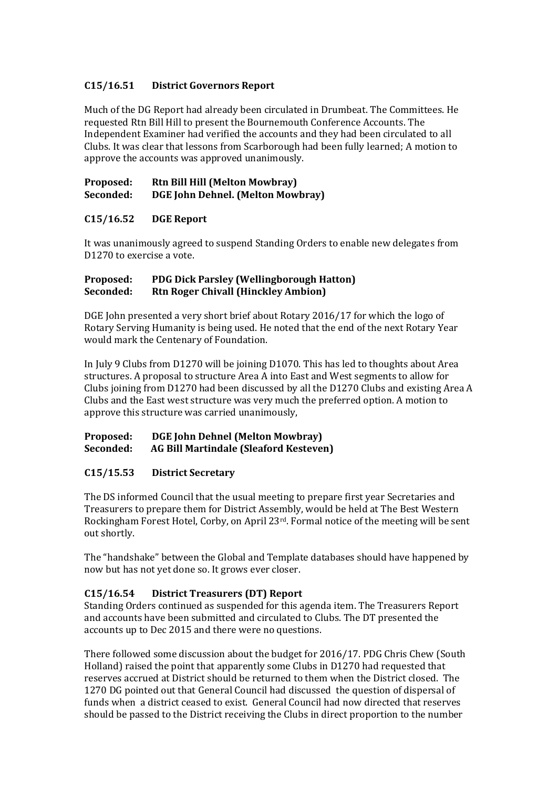# **C15/16.51 District Governors Report**

Much of the DG Report had already been circulated in Drumbeat. The Committees. He requested Rtn Bill Hill to present the Bournemouth Conference Accounts. The Independent Examiner had verified the accounts and they had been circulated to all Clubs. It was clear that lessons from Scarborough had been fully learned; A motion to approve the accounts was approved unanimously.

#### **Proposed: Rtn Bill Hill (Melton Mowbray) Seconded: DGE John Dehnel. (Melton Mowbray)**

# **C15/16.52 DGE Report**

It was unanimously agreed to suspend Standing Orders to enable new delegates from D1270 to exercise a vote.

## **Proposed: PDG Dick Parsley (Wellingborough Hatton) Seconded: Rtn Roger Chivall (Hinckley Ambion)**

DGE John presented a very short brief about Rotary 2016/17 for which the logo of Rotary Serving Humanity is being used. He noted that the end of the next Rotary Year would mark the Centenary of Foundation.

In July 9 Clubs from D1270 will be joining D1070. This has led to thoughts about Area structures. A proposal to structure Area A into East and West segments to allow for Clubs joining from D1270 had been discussed by all the D1270 Clubs and existing Area A Clubs and the East west structure was very much the preferred option. A motion to approve this structure was carried unanimously,

## **Proposed: DGE John Dehnel (Melton Mowbray) Seconded: AG Bill Martindale (Sleaford Kesteven)**

## **C15/15.53 District Secretary**

The DS informed Council that the usual meeting to prepare first year Secretaries and Treasurers to prepare them for District Assembly, would be held at The Best Western Rockingham Forest Hotel, Corby, on April 23rd. Formal notice of the meeting will be sent out shortly.

The "handshake" between the Global and Template databases should have happened by now but has not yet done so. It grows ever closer.

## **C15/16.54 District Treasurers (DT) Report**

Standing Orders continued as suspended for this agenda item. The Treasurers Report and accounts have been submitted and circulated to Clubs. The DT presented the accounts up to Dec 2015 and there were no questions.

There followed some discussion about the budget for 2016/17. PDG Chris Chew (South Holland) raised the point that apparently some Clubs in D1270 had requested that reserves accrued at District should be returned to them when the District closed. The 1270 DG pointed out that General Council had discussed the question of dispersal of funds when a district ceased to exist. General Council had now directed that reserves should be passed to the District receiving the Clubs in direct proportion to the number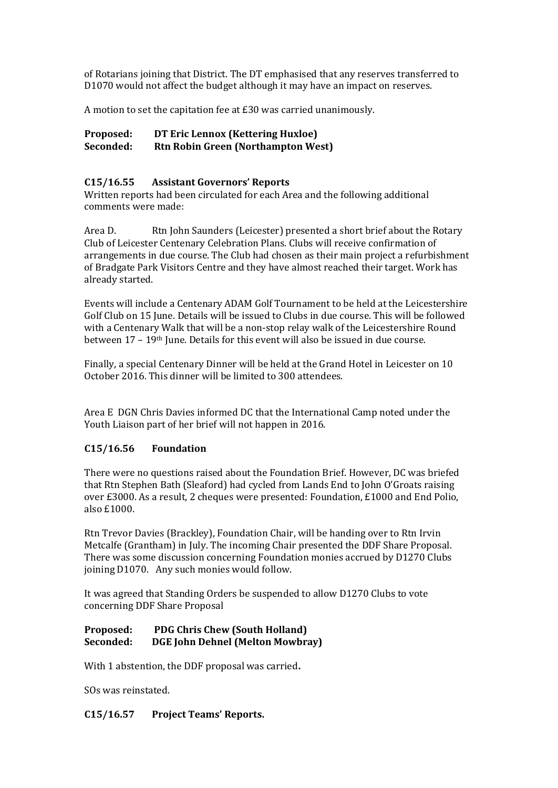of Rotarians joining that District. The DT emphasised that any reserves transferred to D1070 would not affect the budget although it may have an impact on reserves.

A motion to set the capitation fee at £30 was carried unanimously.

## **Proposed: DT Eric Lennox (Kettering Huxloe) Seconded: Rtn Robin Green (Northampton West)**

#### **C15/16.55 Assistant Governors' Reports**

Written reports had been circulated for each Area and the following additional comments were made:

Area D. Rtn John Saunders (Leicester) presented a short brief about the Rotary Club of Leicester Centenary Celebration Plans. Clubs will receive confirmation of arrangements in due course. The Club had chosen as their main project a refurbishment of Bradgate Park Visitors Centre and they have almost reached their target. Work has already started.

Events will include a Centenary ADAM Golf Tournament to be held at the Leicestershire Golf Club on 15 June. Details will be issued to Clubs in due course. This will be followed with a Centenary Walk that will be a non-stop relay walk of the Leicestershire Round between 17 - 19<sup>th</sup> June. Details for this event will also be issued in due course.

Finally, a special Centenary Dinner will be held at the Grand Hotel in Leicester on 10 October 2016. This dinner will be limited to 300 attendees.

Area E DGN Chris Davies informed DC that the International Camp noted under the Youth Liaison part of her brief will not happen in 2016.

## **C15/16.56 Foundation**

There were no questions raised about the Foundation Brief. However, DC was briefed that Rtn Stephen Bath (Sleaford) had cycled from Lands End to John O'Groats raising over £3000. As a result, 2 cheques were presented: Foundation, £1000 and End Polio, also £1000.

Rtn Trevor Davies (Brackley), Foundation Chair, will be handing over to Rtn Irvin Metcalfe (Grantham) in July. The incoming Chair presented the DDF Share Proposal. There was some discussion concerning Foundation monies accrued by D1270 Clubs joining D1070. Any such monies would follow.

It was agreed that Standing Orders be suspended to allow D1270 Clubs to vote concerning DDF Share Proposal

#### **Proposed: PDG Chris Chew (South Holland) Seconded: DGE John Dehnel (Melton Mowbray)**

With 1 abstention, the DDF proposal was carried**.**

SOs was reinstated.

## **C15/16.57 Project Teams' Reports.**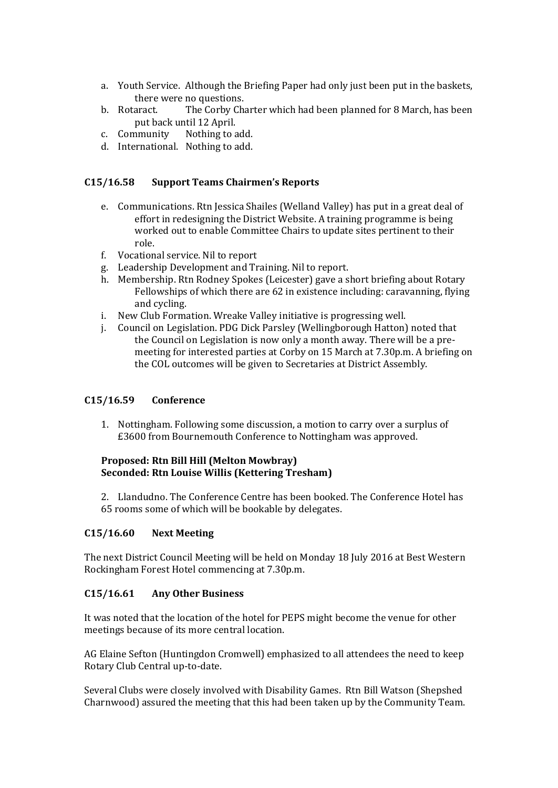- a. Youth Service. Although the Briefing Paper had only just been put in the baskets, there were no questions.
- b. Rotaract. The Corby Charter which had been planned for 8 March, has been put back until 12 April.
- c. Community Nothing to add.
- d. International. Nothing to add.

#### **C15/16.58 Support Teams Chairmen's Reports**

- e. Communications. Rtn Jessica Shailes (Welland Valley) has put in a great deal of effort in redesigning the District Website. A training programme is being worked out to enable Committee Chairs to update sites pertinent to their role.
- f. Vocational service. Nil to report
- g. Leadership Development and Training. Nil to report.
- h. Membership. Rtn Rodney Spokes (Leicester) gave a short briefing about Rotary Fellowships of which there are 62 in existence including: caravanning, flying and cycling.
- i. New Club Formation. Wreake Valley initiative is progressing well.
- j. Council on Legislation. PDG Dick Parsley (Wellingborough Hatton) noted that the Council on Legislation is now only a month away. There will be a premeeting for interested parties at Corby on 15 March at 7.30p.m. A briefing on the COL outcomes will be given to Secretaries at District Assembly.

## **C15/16.59 Conference**

1. Nottingham. Following some discussion, a motion to carry over a surplus of £3600 from Bournemouth Conference to Nottingham was approved.

## **Proposed: Rtn Bill Hill (Melton Mowbray) Seconded: Rtn Louise Willis (Kettering Tresham)**

2. Llandudno. The Conference Centre has been booked. The Conference Hotel has 65 rooms some of which will be bookable by delegates.

#### **C15/16.60 Next Meeting**

The next District Council Meeting will be held on Monday 18 July 2016 at Best Western Rockingham Forest Hotel commencing at 7.30p.m.

#### **C15/16.61 Any Other Business**

It was noted that the location of the hotel for PEPS might become the venue for other meetings because of its more central location.

AG Elaine Sefton (Huntingdon Cromwell) emphasized to all attendees the need to keep Rotary Club Central up-to-date.

Several Clubs were closely involved with Disability Games. Rtn Bill Watson (Shepshed Charnwood) assured the meeting that this had been taken up by the Community Team.